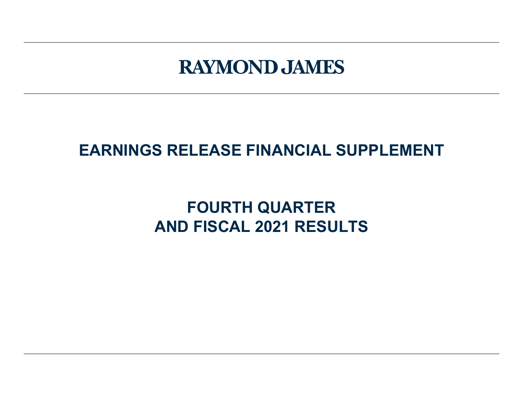# **RAYMOND JAMES**

## **EARNINGS RELEASE FINANCIAL SUPPLEMENT**

## **FOURTH QUARTER AND FISCAL 2021 RESULTS**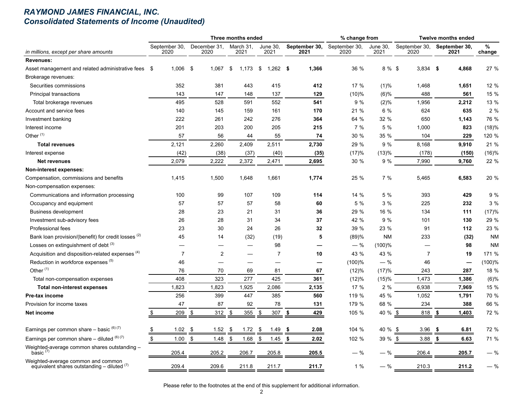#### *RAYMOND JAMES FINANCIAL, INC. Consolidated Statements of Income (Unaudited)*

|                                                                                       |                       |                      | Three months ended |                    |                       | % change from         |                  |                          | <b>Twelve months ended</b> |             |
|---------------------------------------------------------------------------------------|-----------------------|----------------------|--------------------|--------------------|-----------------------|-----------------------|------------------|--------------------------|----------------------------|-------------|
| in millions, except per share amounts                                                 | September 30,<br>2020 | December 31,<br>2020 | March 31,<br>2021  | June 30,<br>2021   | September 30,<br>2021 | September 30,<br>2020 | June 30,<br>2021 | September 30,<br>2020    | September 30,<br>2021      | %<br>change |
| Revenues:                                                                             |                       |                      |                    |                    |                       |                       |                  |                          |                            |             |
| Asset management and related administrative fees \$                                   | 1,006                 | -\$<br>1,067         | \$<br>1,173        | - \$<br>$1,262$ \$ | 1,366                 | 36 %                  | 8 % \$           | $3,834$ \$               | 4,868                      | 27 %        |
| Brokerage revenues:                                                                   |                       |                      |                    |                    |                       |                       |                  |                          |                            |             |
| Securities commissions                                                                | 352                   | 381                  | 443                | 415                | 412                   | 17 %                  | $(1)\%$          | 1,468                    | 1,651                      | 12 %        |
| Principal transactions                                                                | 143                   | 147                  | 148                | 137                | 129                   | (10)%                 | (6)%             | 488                      | 561                        | 15 %        |
| Total brokerage revenues                                                              | 495                   | 528                  | 591                | 552                | 541                   | 9%                    | $(2)\%$          | 1,956                    | 2,212                      | 13 %        |
| Account and service fees                                                              | 140                   | 145                  | 159                | 161                | 170                   | 21 %                  | 6 %              | 624                      | 635                        | 2 %         |
| Investment banking                                                                    | 222                   | 261                  | 242                | 276                | 364                   | 64 %                  | 32 %             | 650                      | 1,143                      | 76 %        |
| Interest income                                                                       | 201                   | 203                  | 200                | 205                | 215                   | 7%                    | 5 %              | 1,000                    | 823                        | (18)%       |
| Other $(1)$                                                                           | 57                    | 56                   | 44                 | 55                 | 74                    | 30 %                  | 35 %             | 104                      | 229                        | 120 %       |
| <b>Total revenues</b>                                                                 | 2,121                 | 2,260                | 2,409              | 2,511              | 2,730                 | 29 %                  | 9%               | 8,168                    | 9,910                      | 21 %        |
| Interest expense                                                                      | (42)                  | (38)                 | (37)               | (40)               | (35)                  | (17)%                 | (13)%            | (178)                    | (150)                      | (16)%       |
| <b>Net revenues</b>                                                                   | 2,079                 | 2,222                | 2,372              | 2,471              | 2,695                 | 30 %                  | 9%               | 7,990                    | 9,760                      | 22 %        |
| Non-interest expenses:                                                                |                       |                      |                    |                    |                       |                       |                  |                          |                            |             |
| Compensation, commissions and benefits                                                | 1,415                 | 1,500                | 1,648              | 1,661              | 1,774                 | 25 %                  | 7%               | 5,465                    | 6,583                      | 20 %        |
| Non-compensation expenses:                                                            |                       |                      |                    |                    |                       |                       |                  |                          |                            |             |
| Communications and information processing                                             | 100                   | 99                   | 107                | 109                | 114                   | 14 %                  | 5 %              | 393                      | 429                        | 9 %         |
| Occupancy and equipment                                                               | 57                    | 57                   | 57                 | 58                 | 60                    | 5 %                   | 3%               | 225                      | 232                        | 3 %         |
| <b>Business development</b>                                                           | 28                    | 23                   | 21                 | 31                 | 36                    | 29 %                  | 16 %             | 134                      | 111                        | (17)%       |
| Investment sub-advisory fees                                                          | 26                    | 28                   | 31                 | 34                 | 37                    | 42 %                  | 9%               | 101                      | 130                        | 29 %        |
| Professional fees                                                                     | 23                    | 30                   | 24                 | 26                 | 32                    | 39 %                  | 23 %             | 91                       | 112                        | 23 %        |
| Bank loan provision/(benefit) for credit losses <sup>(2)</sup>                        | 45                    | 14                   | (32)               | (19)               | 5                     | (89)%                 | <b>NM</b>        | 233                      | (32)                       | <b>NM</b>   |
| Losses on extinguishment of debt $(3)$                                                |                       |                      |                    | 98                 |                       | $-$ %                 | $(100)$ %        | $\overline{\phantom{0}}$ | 98                         | <b>NM</b>   |
| Acquisition and disposition-related expenses (4)                                      | $\overline{7}$        | $\overline{2}$       |                    | 7                  | 10                    | 43 %                  | 43 %             | 7                        | 19                         | 171 %       |
| Reduction in workforce expenses (5)                                                   | 46                    |                      |                    |                    | —                     | (100)%                | $-$ %            | 46                       |                            | (100)%      |
| Other <sup>(1)</sup>                                                                  | 76                    | 70                   | 69                 | 81                 | 67                    | (12)%                 | (17)%            | 243                      | 287                        | 18 %        |
| Total non-compensation expenses                                                       | 408                   | 323                  | 277                | 425                | 361                   | (12)%                 | (15)%            | 1,473                    | 1,386                      | (6)%        |
| <b>Total non-interest expenses</b>                                                    | 1,823                 | 1,823                | 1,925              | 2,086              | 2,135                 | 17 $%$                | 2%               | 6,938                    | 7,969                      | 15 %        |
| Pre-tax income                                                                        | 256                   | 399                  | 447                | 385                | 560                   | 119 %                 | 45 %             | 1,052                    | 1,791                      | 70 %        |
| Provision for income taxes                                                            | 47                    | 87                   | 92                 | 78                 | 131                   | 179 %                 | 68 %             | 234                      | 388                        | 66 %        |
| Net income                                                                            | 209                   | \$<br>312            | 355<br>\$          | \$<br>307          | \$<br>429             | 105 %                 | 40 %             | -\$<br>818               | \$<br>1,403                | 72 %        |
| Earnings per common share $-$ basic $^{(6)(7)}$                                       | 1.02<br>\$            | 1.52<br>- \$         | 1.72<br>- \$       | \$<br>1.49         | 2.08<br>- \$          | 104 %                 | 40 % \$          | 3.96                     | - \$<br>6.81               | 72 %        |
| Earnings per common share $-$ diluted $(6)(7)$                                        | \$<br>1.00            | \$<br>1.48           | \$<br>1.68         | \$<br>1.45         | 2.02<br>\$            | 102 %                 | $39 \%$ \$       | 3.88                     | -\$<br>6.63                | 71 %        |
| Weighted-average common shares outstanding -<br>basic $(7)$                           | 205.4                 | 205.2                | 206.7              | 205.8              | 205.5                 | — %                   |                  | 206.4                    | 205.7                      | — %         |
| Weighted-average common and common<br>equivalent shares outstanding $-$ diluted $(7)$ | 209.4                 | 209.6                | 211.8              | 211.7              | 211.7                 | 1%                    | — %              | 210.3                    | 211.2                      | $-$ %       |

Please refer to the footnotes at the end of this supplement for additional information.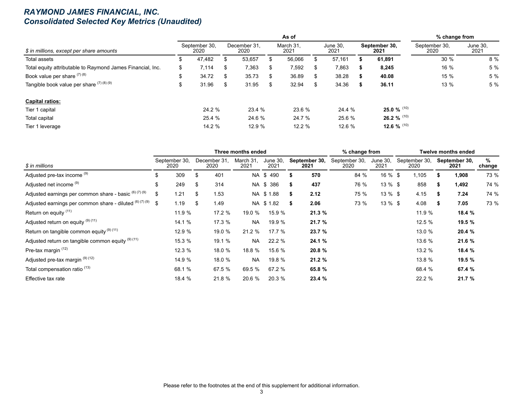#### *RAYMOND JAMES FINANCIAL, INC. Consolidated Selected Key Metrics (Unaudited)*

|                                                            |    |                       |    |                      |     | As of             |     |                  |      |                       | % change from         |                  |
|------------------------------------------------------------|----|-----------------------|----|----------------------|-----|-------------------|-----|------------------|------|-----------------------|-----------------------|------------------|
| \$ in millions, except per share amounts                   |    | September 30.<br>2020 |    | December 31.<br>2020 |     | March 31.<br>2021 |     | June 30,<br>2021 |      | September 30.<br>2021 | September 30,<br>2020 | June 30,<br>2021 |
| Total assets                                               |    | 47.482                | S  | 53,657               |     | 56,066            | Ж.  | 57,161           |      | 61,891                | 30%                   | 8 %              |
| Total equity attributable to Raymond James Financial, Inc. | \$ | 7,114                 | \$ | 7,363                | S   | 7,592             | S.  | 7,863            |      | 8,245                 | 16 %                  | 5 %              |
| Book value per share (7) (8)                               | Φ  | 34.72                 | \$ | 35.73                | \$. | 36.89             | \$. | 38.28            | - 55 | 40.08                 | 15 %                  | 5 %              |
| Tangible book value per share $(7)(8)(9)$                  | Φ  | 31.96                 | S  | 31.95                | \$  | 32.94             | S   | 34.36            |      | 36.11                 | 13 %                  | 5 %              |
| <b>Capital ratios:</b>                                     |    |                       |    |                      |     |                   |     |                  |      |                       |                       |                  |
| Tier 1 capital                                             |    | 24.2 %                |    | 23.4 %               |     | 23.6 %            |     | 24.4 %           |      | 25.0 % $^{(10)}$      |                       |                  |
| Total capital                                              |    | 25.4 %                |    | 24.6 %               |     | 24.7 %            |     | 25.6 %           |      | 26.2 % $(10)$         |                       |                  |
| Tier 1 leverage                                            |    | 14.2 %                |    | 12.9 %               |     | 12.2 %            |     | 12.6 %           |      | 12.6 % $^{(10)}$      |                       |                  |

|                                                          |                       |    |                      | Three months ended |                  |    |                       | % change from         |                  |                       |     | <b>Twelve months ended</b> |             |
|----------------------------------------------------------|-----------------------|----|----------------------|--------------------|------------------|----|-----------------------|-----------------------|------------------|-----------------------|-----|----------------------------|-------------|
| \$ in millions                                           | September 30,<br>2020 |    | December 31,<br>2020 | March 31,<br>2021  | June 30,<br>2021 |    | September 30,<br>2021 | September 30,<br>2020 | June 30,<br>2021 | September 30,<br>2020 |     | September 30,<br>2021      | %<br>change |
| Adjusted pre-tax income (9)                              | \$<br>309             | \$ | 401                  |                    | NA \$490         | S  | 570                   | 84 %                  | $16 \%$ \$       | 105. ا                |     | 1,908                      | 73 %        |
| Adjusted net income (9)                                  | \$<br>249             | S  | 314                  |                    | NA \$386         | \$ | 437                   | 76 %                  | $13 \%$ \$       | 858                   | æ.  | 1,492                      | 74 %        |
| Adjusted earnings per common share - basic (6) (7) (9)   | \$<br>1.21            | \$ | 1.53                 |                    | NA \$1.88        | s. | 2.12                  | 75 %                  | $13 \%$ \$       | 4.15                  |     | 7.24                       | 74 %        |
| Adjusted earnings per common share - diluted (6) (7) (9) | \$<br>1.19            | \$ | 1.49                 |                    | NA \$1.82        | S. | 2.06                  | 73 %                  | $13 \%$ \$       | 4.08                  | -55 | 7.05                       | 73 %        |
| Return on equity (11)                                    | 11.9 %                |    | 17.2 %               | 19.0 %             | 15.9%            |    | 21.3%                 |                       |                  | 11.9 %                |     | 18.4 %                     |             |
| Adjusted return on equity (9) (11)                       | 14.1 %                |    | 17.3 %               | <b>NA</b>          | 19.9 %           |    | 21.7 %                |                       |                  | 12.5 %                |     | 19.5 %                     |             |
| Return on tangible common equity <sup>(9)(11)</sup>      | 12.9 %                |    | 19.0 %               | 21.2%              | 17.7%            |    | 23.7 %                |                       |                  | 13.0 %                |     | 20.4 %                     |             |
| Adjusted return on tangible common equity (9) (11)       | 15.3 %                |    | 19.1 %               | NA.                | 22.2 %           |    | 24.1 %                |                       |                  | 13.6 %                |     | 21.6 %                     |             |
| Pre-tax margin (12)                                      | 12.3 %                |    | 18.0 %               | 18.8 %             | 15.6 %           |    | 20.8 %                |                       |                  | 13.2 %                |     | 18.4 %                     |             |
| Adjusted pre-tax margin <sup>(9)(12)</sup>               | 14.9 %                |    | 18.0 %               | <b>NA</b>          | 19.8 %           |    | 21.2%                 |                       |                  | 13.8 %                |     | 19.5 %                     |             |
| Total compensation ratio <sup>(13)</sup>                 | 68.1 %                |    | 67.5 %               | 69.5 %             | 67.2 %           |    | 65.8 %                |                       |                  | 68.4 %                |     | 67.4 %                     |             |
| Effective tax rate                                       | 18.4 %                |    | 21.8 %               | 20.6 %             | 20.3 %           |    | 23.4 %                |                       |                  | 22.2 %                |     | 21.7 %                     |             |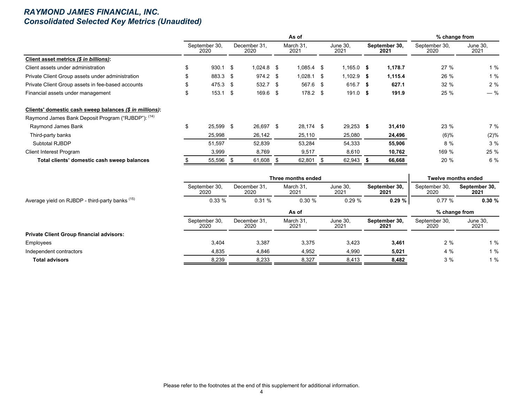#### *RAYMOND JAMES FINANCIAL, INC. Consolidated Selected Key Metrics (Unaudited)*

|                                                         |     |                       |           |                      |                   | % change from           |                       |                       |                  |
|---------------------------------------------------------|-----|-----------------------|-----------|----------------------|-------------------|-------------------------|-----------------------|-----------------------|------------------|
|                                                         |     | September 30,<br>2020 |           | December 31.<br>2020 | March 31,<br>2021 | <b>June 30,</b><br>2021 | September 30,<br>2021 | September 30,<br>2020 | June 30,<br>2021 |
| Client asset metrics (\$ in billions):                  |     |                       |           |                      |                   |                         |                       |                       |                  |
| Client assets under administration                      | \$. | 930.1                 | $\sim$ \$ | $1,024.8$ \$         | $1,085.4$ \$      | $1,165.0$ \$            | 1,178.7               | 27%                   | 1%               |
| Private Client Group assets under administration        |     | 883.3 \$              |           | $974.2$ \$           | $1,028.1$ \$      | $1,102.9$ \$            | 1,115.4               | 26 %                  | 1%               |
| Private Client Group assets in fee-based accounts       |     | 475.3 \$              |           | $532.7$ \$           | 567.6 \$          | 616.7 \$                | 627.1                 | 32 %                  | 2%               |
| Financial assets under management                       | \$  | 153.1                 | - \$      | $169.6$ \$           | $178.2$ \$        | $191.0$ \$              | 191.9                 | 25 %                  | $-$ %            |
| Clients' domestic cash sweep balances (\$ in millions): |     |                       |           |                      |                   |                         |                       |                       |                  |
| Raymond James Bank Deposit Program ("RJBDP"): (14)      |     |                       |           |                      |                   |                         |                       |                       |                  |
| Raymond James Bank                                      | \$  | 25,599 \$             |           | 26,697 \$            | 28,174 \$         | $29,253$ \$             | 31,410                | 23 %                  | 7 %              |
| Third-party banks                                       |     | 25,998                |           | 26,142               | 25,110            | 25,080                  | 24,496                | $(6)\%$               | (2)%             |
| Subtotal RJBDP                                          |     | 51,597                |           | 52,839               | 53,284            | 54,333                  | 55,906                | 8 %                   | 3%               |
| <b>Client Interest Program</b>                          |     | 3,999                 |           | 8,769                | 9,517             | 8,610                   | 10,762                | 169 %                 | 25 %             |
| Total clients' domestic cash sweep balances             |     | 55,596                | - \$      | 61,608 \$            | 62,801 \$         | 62,943                  | 66,668                | 20 %                  | 6 %              |

|                                                            |                       |                      | Three months ended |                         |                       | <b>Twelve months ended</b> |                       |
|------------------------------------------------------------|-----------------------|----------------------|--------------------|-------------------------|-----------------------|----------------------------|-----------------------|
|                                                            | September 30,<br>2020 | December 31.<br>2020 | March 31.<br>2021  | <b>June 30,</b><br>2021 | September 30,<br>2021 | September 30,<br>2020      | September 30.<br>2021 |
| Average yield on RJBDP - third-party banks <sup>(15)</sup> | 0.33%                 | 0.31%                | 0.30%              | 0.29%                   | 0.29%                 | 0.77%                      | 0.30%                 |
|                                                            |                       |                      | As of              |                         |                       | % change from              |                       |
|                                                            | September 30,<br>2020 | December 31.<br>2020 | March 31.<br>2021  | <b>June 30.</b><br>2021 | September 30.<br>2021 | September 30,<br>2020      | June 30,<br>2021      |
| <b>Private Client Group financial advisors:</b>            |                       |                      |                    |                         |                       |                            |                       |
| Employees                                                  | 3,404                 | 3,387                | 3,375              | 3,423                   | 3,461                 | 2%                         | 1%                    |
| Independent contractors                                    | 4,835                 | 4,846                | 4,952              | 4,990                   | 5,021                 | 4 %                        | 1%                    |
| <b>Total advisors</b>                                      | 8,239                 | 8,233                | 8,327              | 8,413                   | 8,482                 | 3%                         | 1%                    |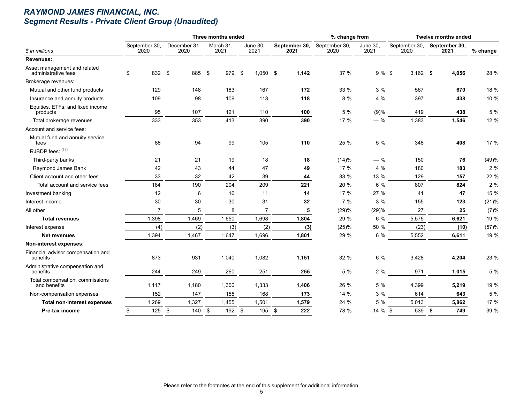## *RAYMOND JAMES FINANCIAL, INC. Segment Results - Private Client Group (Unaudited)*

|                                                     |                       |                      | Three months ended |                         |                       | % change from         |                         |                       | <b>Twelve months ended</b> |          |
|-----------------------------------------------------|-----------------------|----------------------|--------------------|-------------------------|-----------------------|-----------------------|-------------------------|-----------------------|----------------------------|----------|
| \$ in millions                                      | September 30,<br>2020 | December 31,<br>2020 | March 31,<br>2021  | <b>June 30,</b><br>2021 | September 30,<br>2021 | September 30,<br>2020 | <b>June 30,</b><br>2021 | September 30,<br>2020 | September 30,<br>2021      | % change |
| Revenues:                                           |                       |                      |                    |                         |                       |                       |                         |                       |                            |          |
| Asset management and related<br>administrative fees | \$                    | 832 \$               | 885 \$<br>979      | \$<br>$1,050$ \$        | 1,142                 | 37 %                  | $9%$ \$                 | $3,162$ \$            | 4,056                      | 28 %     |
| Brokerage revenues:                                 |                       |                      |                    |                         |                       |                       |                         |                       |                            |          |
| Mutual and other fund products                      | 129                   | 148                  | 183                | 167                     | 172                   | 33 %                  | 3%                      | 567                   | 670                        | 18 %     |
| Insurance and annuity products                      | 109                   | 98                   | 109                | 113                     | 118                   | 8 %                   | 4 %                     | 397                   | 438                        | 10 %     |
| Equities, ETFs, and fixed income<br>products        | 95                    | 107                  | 121                | 110                     | 100                   | 5 %                   | (9)%                    | 419                   | 438                        | 5 %      |
| Total brokerage revenues                            | 333                   | 353                  | 413                | 390                     | 390                   | 17 %                  | $-$ %                   | 1,383                 | 1,546                      | 12 %     |
| Account and service fees:                           |                       |                      |                    |                         |                       |                       |                         |                       |                            |          |
| Mutual fund and annuity service<br>fees             | 88                    | 94                   | 99                 | 105                     | 110                   | 25 %                  | 5 %                     | 348                   | 408                        | 17 %     |
| RJBDP fees: (14)                                    |                       |                      |                    |                         |                       |                       |                         |                       |                            |          |
| Third-party banks                                   | 21                    | 21                   | 19                 | 18                      | 18                    | (14)%                 | $-$ %                   | 150                   | 76                         | (49)%    |
| Raymond James Bank                                  | 42                    | 43                   | 44                 | 47                      | 49                    | 17 %                  | 4 %                     | 180                   | 183                        | 2%       |
| Client account and other fees                       | 33                    | 32                   | 42                 | 39                      | 44                    | 33 %                  | 13 %                    | 129                   | 157                        | 22 %     |
| Total account and service fees                      | 184                   | 190                  | 204                | 209                     | 221                   | 20 %                  | 6 %                     | 807                   | 824                        | 2%       |
| Investment banking                                  | 12                    | 6                    | 16                 | 11                      | 14                    | 17 %                  | 27 %                    | 41                    | 47                         | 15 %     |
| Interest income                                     | 30                    | 30                   | 30                 | 31                      | 32                    | 7 %                   | 3%                      | 155                   | 123                        | (21)%    |
| All other                                           | $\overline{7}$        | 5                    | 8                  | $\overline{7}$          | 5                     | (29)%                 | (29)%                   | 27                    | 25                         | (7)%     |
| <b>Total revenues</b>                               | 1,398                 | 1,469                | 1,650              | 1,698                   | 1,804                 | 29 %                  | 6 %                     | 5,575                 | 6,621                      | 19 %     |
| Interest expense                                    | (4)                   | (2)                  | (3)                | (2)                     | (3)                   | (25)%                 | 50 %                    | (23)                  | (10)                       | (57)%    |
| <b>Net revenues</b>                                 | 1,394                 | 1,467                | 1,647              | 1,696                   | 1,801                 | 29 %                  | 6 %                     | 5,552                 | 6,611                      | 19 %     |
| Non-interest expenses:                              |                       |                      |                    |                         |                       |                       |                         |                       |                            |          |
| Financial advisor compensation and<br>benefits      | 873                   | 931                  | 1,040              | 1,082                   | 1,151                 | 32 %                  | 6 %                     | 3,428                 | 4,204                      | 23 %     |
| Administrative compensation and<br>benefits         | 244                   | 249                  | 260                | 251                     | 255                   | 5 %                   | 2%                      | 971                   | 1,015                      | 5 %      |
| Total compensation, commissions<br>and benefits     | 1,117                 | 1,180                | 1,300              | 1,333                   | 1,406                 | 26 %                  | 5 %                     | 4,399                 | 5,219                      | 19 %     |
| Non-compensation expenses                           | 152                   | 147                  | 155                | 168                     | 173                   | 14 %                  | 3%                      | 614                   | 643                        | 5 %      |
| <b>Total non-interest expenses</b>                  | 1,269                 | 1,327                | 1,455              | 1,501                   | 1,579                 | 24 %                  | 5 %                     | 5,013                 | 5,862                      | 17 %     |
| Pre-tax income                                      | 125<br>\$             | \$<br>140            | \$<br>192          | \$<br>195               | \$<br>222             | 78 %                  | 14 % \$                 | 539                   | 749<br>\$                  | 39 %     |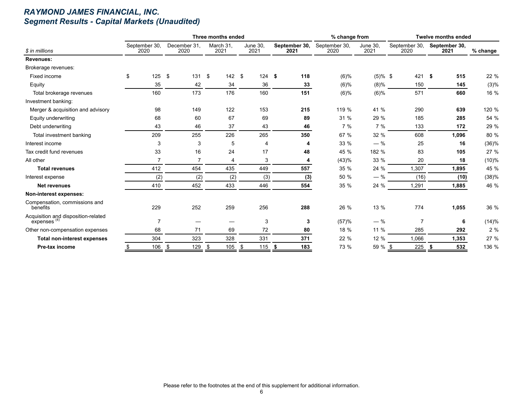## *RAYMOND JAMES FINANCIAL, INC. Segment Results - Capital Markets (Unaudited)*

|                                                                |                       |     |                      | Three months ended |     |                         |                       | % change from         |                  |                       | <b>Twelve months ended</b> |          |
|----------------------------------------------------------------|-----------------------|-----|----------------------|--------------------|-----|-------------------------|-----------------------|-----------------------|------------------|-----------------------|----------------------------|----------|
| \$ in millions                                                 | September 30,<br>2020 |     | December 31,<br>2020 | March 31,<br>2021  |     | <b>June 30,</b><br>2021 | September 30,<br>2021 | September 30,<br>2020 | June 30,<br>2021 | September 30,<br>2020 | September 30,<br>2021      | % change |
| <b>Revenues:</b>                                               |                       |     |                      |                    |     |                         |                       |                       |                  |                       |                            |          |
| Brokerage revenues:                                            |                       |     |                      |                    |     |                         |                       |                       |                  |                       |                            |          |
| Fixed income                                                   | \$                    | 125 | -\$<br>131           | 142<br>\$          |     | \$<br>124               | \$<br>118             | $(6)\%$               | $(5)\%$ \$       | 421 S                 | 515                        | 22 %     |
| Equity                                                         |                       | 35  | 42                   | 34                 |     | 36                      | 33                    | (6)%                  | $(8)\%$          | 150                   | 145                        | (3)%     |
| Total brokerage revenues                                       |                       | 160 | 173                  | 176                |     | 160                     | 151                   | (6)%                  | $(6)\%$          | 571                   | 660                        | 16 %     |
| Investment banking:                                            |                       |     |                      |                    |     |                         |                       |                       |                  |                       |                            |          |
| Merger & acquisition and advisory                              |                       | 98  | 149                  | 122                |     | 153                     | 215                   | 119 %                 | 41 %             | 290                   | 639                        | 120 %    |
| Equity underwriting                                            |                       | 68  | 60                   | 67                 |     | 69                      | 89                    | 31 %                  | 29 %             | 185                   | 285                        | 54 %     |
| Debt underwriting                                              |                       | 43  | 46                   | 37                 |     | 43                      | 46                    | 7%                    | 7%               | 133                   | 172                        | 29 %     |
| Total investment banking                                       |                       | 209 | 255                  | 226                |     | 265                     | 350                   | 67 %                  | 32 %             | 608                   | 1,096                      | 80 %     |
| Interest income                                                |                       | 3   | 3                    |                    | 5   | 4                       | 4                     | 33 %                  | $-$ %            | 25                    | 16                         | (36)%    |
| Tax credit fund revenues                                       |                       | 33  | 16                   | 24                 |     | 17                      | 48                    | 45 %                  | 182 %            | 83                    | 105                        | 27 %     |
| All other                                                      |                       | 7   |                      |                    | 4   | 3                       | 4                     | (43)%                 | 33 %             | 20                    | 18                         | (10)%    |
| <b>Total revenues</b>                                          |                       | 412 | 454                  | 435                |     | 449                     | 557                   | 35 %                  | 24 %             | 1,307                 | 1,895                      | 45 %     |
| Interest expense                                               |                       | (2) | (2)                  |                    | (2) | (3)                     | (3)                   | 50 %                  | $-$ %            | (16)                  | (10)                       | (38)%    |
| <b>Net revenues</b>                                            |                       | 410 | 452                  | 433                |     | 446                     | 554                   | 35 %                  | 24 %             | 1,291                 | 1,885                      | 46 %     |
| Non-interest expenses:                                         |                       |     |                      |                    |     |                         |                       |                       |                  |                       |                            |          |
| Compensation, commissions and<br>benefits                      |                       | 229 | 252                  | 259                |     | 256                     | 288                   | 26 %                  | 13 %             | 774                   | 1,055                      | 36 %     |
| Acquisition and disposition-related<br>expenses <sup>(4)</sup> |                       | 7   |                      |                    |     | 3                       | 3                     | (57)%                 | $-$ %            | 7                     | 6                          | (14)%    |
| Other non-compensation expenses                                |                       | 68  | 71                   | 69                 |     | 72                      | 80                    | 18 %                  | 11 %             | 285                   | 292                        | 2%       |
| <b>Total non-interest expenses</b>                             |                       | 304 | 323                  | 328                |     | 331                     | 371                   | 22 %                  | 12 %             | 1,066                 | 1,353                      | 27 %     |
| Pre-tax income                                                 |                       | 106 | \$<br>129            | 105<br>\$          |     | \$<br>115               | \$<br>183             | 73 %                  | 59 % \$          | $225$ \$              | 532                        | 136 %    |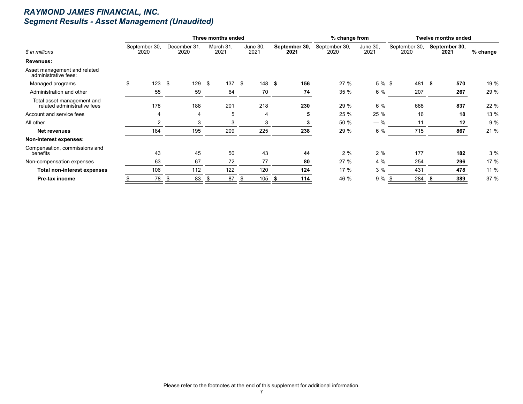## *RAYMOND JAMES FINANCIAL, INC. Segment Results - Asset Management (Unaudited)*

|                                                           |                       |                      | Three months ended |                  |                       | % change from         |                         |                       | <b>Twelve months ended</b> |          |
|-----------------------------------------------------------|-----------------------|----------------------|--------------------|------------------|-----------------------|-----------------------|-------------------------|-----------------------|----------------------------|----------|
| \$ in millions                                            | September 30,<br>2020 | December 31.<br>2020 | March 31,<br>2021  | June 30,<br>2021 | September 30,<br>2021 | September 30,<br>2020 | <b>June 30,</b><br>2021 | September 30,<br>2020 | September 30,<br>2021      | % change |
| Revenues:                                                 |                       |                      |                    |                  |                       |                       |                         |                       |                            |          |
| Asset management and related<br>administrative fees:      |                       |                      |                    |                  |                       |                       |                         |                       |                            |          |
| Managed programs                                          | \$<br>123             | 129<br>- \$          | \$<br>137          | \$<br>148        | 156<br>- \$           | 27 %                  | 5 % \$                  | 481 \$                | 570                        | 19 %     |
| Administration and other                                  | 55                    | 59                   | 64                 | 70               | 74                    | 35 %                  | 6 %                     | 207                   | 267                        | 29 %     |
| Total asset management and<br>related administrative fees | 178                   | 188                  | 201                | 218              | 230                   | 29 %                  | 6 %                     | 688                   | 837                        | 22 %     |
| Account and service fees                                  | 4                     | 4                    | 5                  | 4                | 5                     | 25 %                  | 25 %                    | 16                    | 18                         | 13 %     |
| All other                                                 | 2                     | 3                    | 3                  | 3                | 3                     | 50 %                  | $-$ %                   | 11                    | 12                         | 9%       |
| Net revenues                                              | 184                   | 195                  | 209                | 225              | 238                   | 29 %                  | 6 %                     | 715                   | 867                        | 21 %     |
| Non-interest expenses:                                    |                       |                      |                    |                  |                       |                       |                         |                       |                            |          |
| Compensation, commissions and<br>benefits                 | 43                    | 45                   | 50                 | 43               | 44                    | 2%                    | 2%                      | 177                   | 182                        | 3%       |
| Non-compensation expenses                                 | 63                    | 67                   | 72                 | 77               | 80                    | 27 %                  | 4 %                     | 254                   | 296                        | 17 %     |
| <b>Total non-interest expenses</b>                        | 106                   | 112                  | 122                | 120              | 124                   | 17%                   | 3%                      | 431                   | 478                        | 11 %     |
| Pre-tax income                                            | 78                    | 83<br>- 55           | 87<br>S            | 105<br>\$        | 114                   | 46 %                  | 9%                      | 284                   | 389                        | 37 %     |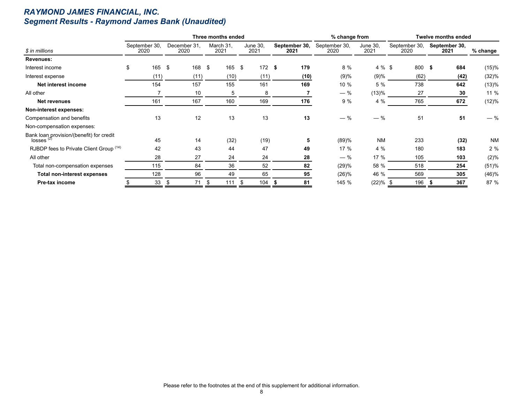## *RAYMOND JAMES FINANCIAL, INC. Segment Results - Raymond James Bank (Unaudited)*

|                                                            |                       |                      | Three months ended |                  |                       | % change from         |                  |                       | <b>Twelve months ended</b> |           |
|------------------------------------------------------------|-----------------------|----------------------|--------------------|------------------|-----------------------|-----------------------|------------------|-----------------------|----------------------------|-----------|
| \$ in millions                                             | September 30,<br>2020 | December 31,<br>2020 | March 31,<br>2021  | June 30,<br>2021 | September 30,<br>2021 | September 30,<br>2020 | June 30,<br>2021 | September 30,<br>2020 | September 30,<br>2021      | % change  |
| Revenues:                                                  |                       |                      |                    |                  |                       |                       |                  |                       |                            |           |
| Interest income                                            | \$<br>165             | - \$<br>168          | \$<br>165          | \$<br>$172$ \$   | 179                   | 8 %                   | 4 % \$           | 800 \$                | 684                        | (15)%     |
| Interest expense                                           | (11)                  | (11)                 | (10)               | (11)             | (10)                  | (9)%                  | (9)%             | (62)                  | (42)                       | (32)%     |
| Net interest income                                        | 154                   | 157                  | 155                | 161              | 169                   | 10 %                  | 5 %              | 738                   | 642                        | (13)%     |
| All other                                                  |                       | 10                   | 5                  | 8                |                       | $-$ %                 | (13)%            | 27                    | 30                         | 11 %      |
| Net revenues                                               | 161                   | 167                  | 160                | 169              | 176                   | 9 %                   | 4 %              | 765                   | 672                        | (12)%     |
| Non-interest expenses:                                     |                       |                      |                    |                  |                       |                       |                  |                       |                            |           |
| Compensation and benefits                                  | 13                    | 12                   | 13                 | 13               | 13                    | $-$ %                 | $-$ %            | 51                    | 51                         | $-$ %     |
| Non-compensation expenses:                                 |                       |                      |                    |                  |                       |                       |                  |                       |                            |           |
| Bank loan provision/(benefit) for credit<br>$losses^{(2)}$ | 45                    | 14                   | (32)               | (19)             | 5                     | (89)%                 | <b>NM</b>        | 233                   | (32)                       | <b>NM</b> |
| RJBDP fees to Private Client Group (14)                    | 42                    | 43                   | 44                 | 47               | 49                    | 17%                   | 4 %              | 180                   | 183                        | 2%        |
| All other                                                  | 28                    | 27                   | 24                 | 24               | 28                    | $-$ %                 | 17 %             | 105                   | 103                        | (2)%      |
| Total non-compensation expenses                            | 115                   | 84                   | 36                 | 52               | 82                    | (29)%                 | 58 %             | 518                   | 254                        | (51)%     |
| <b>Total non-interest expenses</b>                         | 128                   | 96                   | 49                 | 65               | 95                    | (26)%                 | 46 %             | 569                   | 305                        | (46)%     |
| Pre-tax income                                             | 33                    | 71<br>-5             | 111<br>\$          | 104<br>\$        | 81<br>- 55            | 145 %                 | (22)%            | 196                   | 367                        | 87 %      |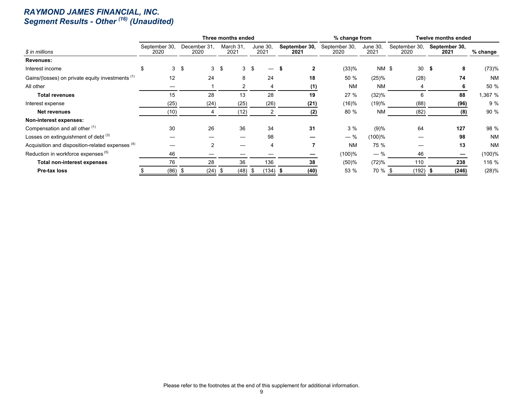#### *RAYMOND JAMES FINANCIAL, INC. Segment Results - Other (16) (Unaudited)*

|                                                             |                       |      |                      |                |                   | Three months ended |                  |     |                       | % change from         |                  |                       |                 | <b>Twelve months ended</b> |           |
|-------------------------------------------------------------|-----------------------|------|----------------------|----------------|-------------------|--------------------|------------------|-----|-----------------------|-----------------------|------------------|-----------------------|-----------------|----------------------------|-----------|
| \$ in millions                                              | September 30,<br>2020 |      | December 31,<br>2020 |                | March 31,<br>2021 |                    | June 30,<br>2021 |     | September 30,<br>2021 | September 30,<br>2020 | June 30,<br>2021 | September 30,<br>2020 |                 | September 30,<br>2021      | % change  |
| Revenues:                                                   |                       |      |                      |                |                   |                    |                  |     |                       |                       |                  |                       |                 |                            |           |
| Interest income                                             | \$                    |      | 3 <sup>5</sup>       | 3              | -\$               | 3S                 |                  |     | $\mathbf{2}$          | (33)%                 | <b>NM \$</b>     |                       | 30 <sup>5</sup> | 8                          | (73)%     |
| Gains/(losses) on private equity investments <sup>(1)</sup> |                       | 12   |                      | 24             |                   | 8                  | 24               |     | 18                    | 50 %                  | $(25)\%$         |                       | (28)            | 74                         | <b>NM</b> |
| All other                                                   |                       |      |                      |                |                   | 2                  |                  |     | (1)                   | <b>NM</b>             | <b>NM</b>        |                       |                 | 6                          | 50 %      |
| <b>Total revenues</b>                                       |                       | 15   |                      | 28             |                   | 13                 | 28               |     | 19                    | 27%                   | (32)%            |                       | 6               | 88                         | 1,367 %   |
| Interest expense                                            |                       | (25) |                      | (24)           |                   | (25)               | (26)             |     | (21)                  | (16)%                 | (19)%            |                       | (88)            | (96)                       | 9%        |
| Net revenues                                                |                       | (10) |                      |                |                   | (12)               | 2                |     | (2)                   | 80 %                  | <b>NM</b>        |                       | (82)            | (8)                        | 90 %      |
| Non-interest expenses:                                      |                       |      |                      |                |                   |                    |                  |     |                       |                       |                  |                       |                 |                            |           |
| Compensation and all other (1)                              |                       | 30   |                      | 26             |                   | 36                 | 34               |     | 31                    | 3%                    | (9)%             |                       | 64              | 127                        | 98 %      |
| Losses on extinguishment of debt (3)                        |                       |      |                      |                |                   |                    | 98               |     |                       | $-$ %                 | $(100)\%$        |                       |                 | 98                         | <b>NM</b> |
| Acquisition and disposition-related expenses <sup>(4)</sup> |                       |      |                      | $\overline{2}$ |                   |                    |                  |     |                       | <b>NM</b>             | 75 %             |                       |                 | 13                         | <b>NM</b> |
| Reduction in workforce expenses <sup>(5)</sup>              |                       | 46   |                      |                |                   |                    |                  |     |                       | (100)%                | $-$ %            |                       | 46              |                            | (100)%    |
| <b>Total non-interest expenses</b>                          |                       | 76   |                      | 28             |                   | 36                 | 136              |     | 38                    | (50)%                 | (72)%            |                       | 110             | 238                        | 116 %     |
| Pre-tax loss                                                |                       | (86) | -5                   | (24)           | - \$              | (48)               | (134)            | - 5 | (40)                  | 53 %                  | 70 %             |                       | (192)           | (246)                      | (28)%     |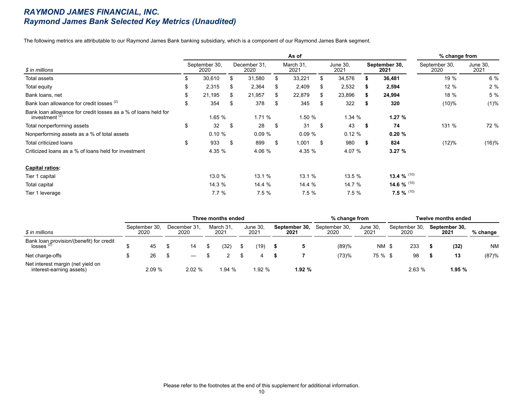#### *RAYMOND JAMES FINANCIAL, INC. Raymond James Bank Selected Key Metrics (Unaudited)*

The following metrics are attributable to our Raymond James Bank banking subsidiary, which is a component of our Raymond James Bank segment.

|                                                                                    |    |                       |    |                      |    | As of             |     |                         |      |                       | % change from         |                  |
|------------------------------------------------------------------------------------|----|-----------------------|----|----------------------|----|-------------------|-----|-------------------------|------|-----------------------|-----------------------|------------------|
| \$ in millions                                                                     |    | September 30,<br>2020 |    | December 31.<br>2020 |    | March 31.<br>2021 |     | <b>June 30,</b><br>2021 |      | September 30,<br>2021 | September 30,<br>2020 | June 30,<br>2021 |
| Total assets                                                                       | S  | 30,610                | S  | 31,580               | \$ | 33,221            | \$. | 34,576                  |      | 36,481                | 19 %                  | 6 %              |
| Total equity                                                                       | \$ | 2,315                 | S  | 2,364                | \$ | 2,409             | S.  | 2,532                   | ъ.   | 2,594                 | 12%                   | 2%               |
| Bank loans, net                                                                    | \$ | 21,195                | S  | 21,957               | S. | 22,879            | S.  | 23,896                  | S.   | 24,994                | 18 %                  | 5 %              |
| Bank loan allowance for credit losses (2)                                          | \$ | 354                   | \$ | 378                  | \$ | 345               | S   | 322                     |      | 320                   | (10)%                 | (1)%             |
| Bank loan allowance for credit losses as a % of loans held for<br>investment $(2)$ |    | 1.65%                 |    | 1.71 %               |    | 1.50 %            |     | 1.34%                   |      | 1.27%                 |                       |                  |
| Total nonperforming assets                                                         | \$ | 32                    | \$ | 28                   | \$ | 31                | \$  | 43                      | - \$ | 74                    | 131 %                 | 72 %             |
| Nonperforming assets as a % of total assets                                        |    | 0.10%                 |    | 0.09%                |    | 0.09%             |     | 0.12%                   |      | 0.20%                 |                       |                  |
| Total criticized loans                                                             | \$ | 933                   | \$ | 899                  | \$ | 1,001             | \$  | 980                     | - 56 | 824                   | (12)%                 | (16)%            |
| Criticized loans as a % of loans held for investment                               |    | 4.35 %                |    | 4.06 %               |    | 4.35 %            |     | 4.07 %                  |      | 3.27%                 |                       |                  |
| <b>Capital ratios:</b>                                                             |    |                       |    |                      |    |                   |     |                         |      |                       |                       |                  |
| Tier 1 capital                                                                     |    | 13.0 %                |    | 13.1 %               |    | 13.1%             |     | 13.5 %                  |      | 13.4 $%$ (10)         |                       |                  |
| Total capital                                                                      |    | 14.3 %                |    | 14.4 %               |    | 14.4 %            |     | 14.7 %                  |      | 14.6 $%$ (10)         |                       |                  |
| Tier 1 leverage                                                                    |    | 7.7%                  |    | 7.5%                 |    | 7.5%              |     | 7.5%                    |      | 7.5 % $^{(10)}$       |                       |                  |

|                                                                     |                       |                      | Three months ended |                  |                       | % change from         |                  |                       | <b>Twelve months ended</b> |            |
|---------------------------------------------------------------------|-----------------------|----------------------|--------------------|------------------|-----------------------|-----------------------|------------------|-----------------------|----------------------------|------------|
| \$ in millions                                                      | September 30,<br>2020 | December 31,<br>2020 | March 31<br>2021   | June 30,<br>2021 | September 30,<br>2021 | September 30,<br>2020 | June 30.<br>2021 | September 30,<br>2020 | September 30,<br>2021      | $%$ change |
| Bank loan provision/(benefit) for credit<br>$losses$ <sup>(2)</sup> | 45                    | 14                   | (32)               | (19)             |                       | (89)%                 | NM \$            | 233                   | (32)                       | <b>NM</b>  |
| Net charge-offs                                                     | 26                    |                      |                    |                  |                       | (73)%                 | 75 % \$          | 98                    | 13                         | (87)%      |
| Net interest margin (net yield on<br>interest-earning assets)       | 2.09%                 | 2.02%                | 1.94 %             | 1.92 %           | 1.92%                 |                       |                  | 2.63%                 | 1.95%                      |            |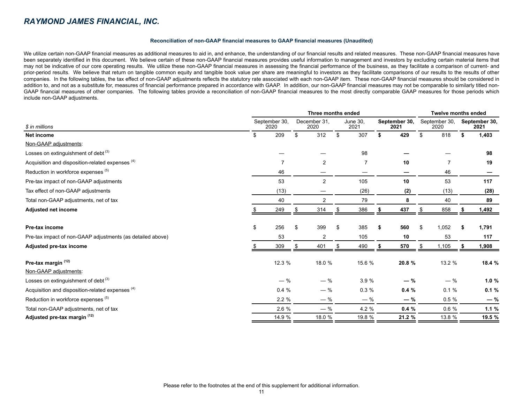#### **Reconciliation of non-GAAP financial measures to GAAP financial measures (Unaudited)**

We utilize certain non-GAAP financial measures as additional measures to aid in, and enhance, the understanding of our financial results and related measures. These non-GAAP financial measures have been separately identified in this document. We believe certain of these non-GAAP financial measures provides useful information to management and investors by excluding certain material items that may not be indicative of our core operating results. We utilize these non-GAAP financial measures in assessing the financial performance of the business, as they facilitate a comparison of current- and prior-period results. We believe that return on tangible common equity and tangible book value per share are meaningful to investors as they facilitate comparisons of our results to the results of other companies. In the following tables, the tax effect of non-GAAP adjustments reflects the statutory rate associated with each non-GAAP item. These non-GAAP financial measures should be considered in addition to, and not as a substitute for, measures of financial performance prepared in accordance with GAAP. In addition, our non-GAAP financial measures may not be comparable to similarly titled non-GAAP financial measures of other companies. The following tables provide a reconciliation of non-GAAP financial measures to the most directly comparable GAAP measures for those periods which include non-GAAP adjustments.

|                                                            |    |                       |                      | <b>Twelve months ended</b> |    |                       |    |                       |    |                       |
|------------------------------------------------------------|----|-----------------------|----------------------|----------------------------|----|-----------------------|----|-----------------------|----|-----------------------|
| \$ in millions<br>Net income                               |    | September 30,<br>2020 | December 31,<br>2020 | June 30.<br>2021           |    | September 30,<br>2021 |    | September 30,<br>2020 |    | September 30,<br>2021 |
|                                                            |    | 209                   | \$<br>312            | \$<br>307                  | \$ | 429                   | \$ | 818                   | \$ | 1,403                 |
| Non-GAAP adjustments:                                      |    |                       |                      |                            |    |                       |    |                       |    |                       |
| Losses on extinguishment of debt <sup>(3)</sup>            |    |                       |                      | 98                         |    |                       |    |                       |    | 98                    |
| Acquisition and disposition-related expenses (4)           |    | 7                     | 2                    | $\overline{7}$             |    | 10                    |    |                       |    | 19                    |
| Reduction in workforce expenses (5)                        |    | 46                    |                      |                            |    |                       |    | 46                    |    |                       |
| Pre-tax impact of non-GAAP adjustments                     |    | 53                    | 2                    | 105                        |    | 10                    |    | 53                    |    | 117                   |
| Tax effect of non-GAAP adjustments                         |    | (13)                  |                      | (26)                       |    | (2)                   |    | (13)                  |    | (28)                  |
| Total non-GAAP adjustments, net of tax                     |    | 40                    | $\overline{2}$       | 79                         |    | 8                     |    | 40                    |    | 89                    |
| <b>Adjusted net income</b>                                 |    | 249                   | 314                  | 386                        |    | 437                   | \$ | 858                   |    | 1,492                 |
|                                                            |    |                       |                      |                            |    |                       |    |                       |    |                       |
| <b>Pre-tax income</b>                                      | \$ | 256                   | 399                  | \$<br>385                  | \$ | 560                   | \$ | 1,052                 |    | 1,791                 |
| Pre-tax impact of non-GAAP adjustments (as detailed above) |    | 53                    | 2                    | 105                        |    | 10                    |    | 53                    |    | 117                   |
| Adjusted pre-tax income                                    |    | 309                   | 401                  | 490                        |    | 570                   | S  | 1,105                 |    | 1,908                 |
| Pre-tax margin (12)                                        |    | 12.3 %                | 18.0 %               | 15.6 %                     |    | 20.8 %                |    | 13.2 %                |    | 18.4 %                |
| Non-GAAP adjustments:                                      |    |                       |                      |                            |    |                       |    |                       |    |                       |
| Losses on extinguishment of debt <sup>(3)</sup>            |    | $-$ %                 | $-$ %                | 3.9%                       |    | $-$ %                 |    | $-$ %                 |    | 1.0%                  |
| Acquisition and disposition-related expenses (4)           |    | 0.4%                  | $-$ %                | 0.3%                       |    | 0.4%                  |    | 0.1%                  |    | 0.1%                  |
| Reduction in workforce expenses (5)                        |    | 2.2%                  | $-$ %                | $-$ %                      |    | $-$ %                 |    | 0.5%                  |    | $-$ %                 |
| Total non-GAAP adjustments, net of tax                     |    | 2.6 %                 | $-$ %                | 4.2 %                      |    | 0.4%                  |    | 0.6%                  |    | 1.1%                  |
| Adjusted pre-tax margin (12)                               |    | 14.9 %                | 18.0 %               | 19.8 %                     |    | 21.2 %                |    | 13.8 %                |    | 19.5 %                |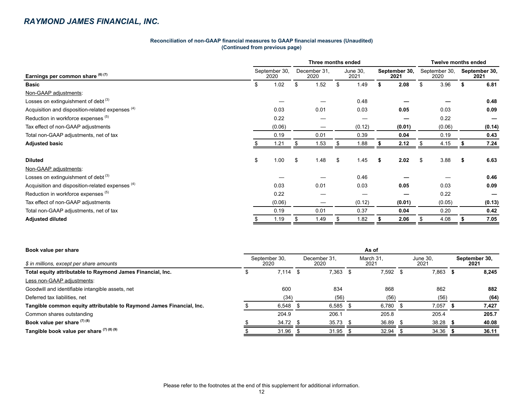#### **Reconciliation of non-GAAP financial measures to GAAP financial measures (Unaudited) (Continued from previous page)**

|                                                  | Three months ended    |        |    |                      |    |                  |                       |        |                       |        | <b>Twelve months ended</b> |                       |  |  |  |
|--------------------------------------------------|-----------------------|--------|----|----------------------|----|------------------|-----------------------|--------|-----------------------|--------|----------------------------|-----------------------|--|--|--|
| Earnings per common share (6) (7)                | September 30,<br>2020 |        |    | December 31.<br>2020 |    | June 30,<br>2021 | September 30,<br>2021 |        | September 30,<br>2020 |        |                            | September 30,<br>2021 |  |  |  |
| <b>Basic</b>                                     | 1.02<br>\$            |        | S  | 1.52                 |    | 1.49<br>.S       |                       | 2.08   | S                     | 3.96   |                            | 6.81                  |  |  |  |
| Non-GAAP adjustments:                            |                       |        |    |                      |    |                  |                       |        |                       |        |                            |                       |  |  |  |
| Losses on extinguishment of debt $(3)$           |                       |        |    |                      |    | 0.48             |                       |        |                       |        |                            | 0.48                  |  |  |  |
| Acquisition and disposition-related expenses (4) |                       | 0.03   |    | 0.01                 |    | 0.03             |                       | 0.05   |                       | 0.03   |                            | 0.09                  |  |  |  |
| Reduction in workforce expenses (5)              |                       | 0.22   |    |                      |    |                  |                       |        |                       | 0.22   |                            |                       |  |  |  |
| Tax effect of non-GAAP adjustments               |                       | (0.06) |    |                      |    | (0.12)           |                       | (0.01) |                       | (0.06) |                            | (0.14)                |  |  |  |
| Total non-GAAP adjustments, net of tax           |                       | 0.19   |    | 0.01                 |    | 0.39             |                       | 0.04   |                       | 0.19   |                            | 0.43                  |  |  |  |
| <b>Adjusted basic</b>                            |                       | 1.21   |    | 1.53                 |    | 1.88             |                       | 2.12   |                       | 4.15   |                            | 7.24                  |  |  |  |
|                                                  |                       |        |    |                      |    |                  |                       |        |                       |        |                            |                       |  |  |  |
| <b>Diluted</b>                                   | \$                    | 1.00   | \$ | 1.48                 | \$ | 1.45             | S.                    | 2.02   | \$                    | 3.88   | S                          | 6.63                  |  |  |  |
| Non-GAAP adjustments:                            |                       |        |    |                      |    |                  |                       |        |                       |        |                            |                       |  |  |  |
| Losses on extinguishment of debt <sup>(3)</sup>  |                       |        |    |                      |    | 0.46             |                       |        |                       |        |                            | 0.46                  |  |  |  |
| Acquisition and disposition-related expenses (4) |                       | 0.03   |    | 0.01                 |    | 0.03             |                       | 0.05   |                       | 0.03   |                            | 0.09                  |  |  |  |
| Reduction in workforce expenses (5)              |                       | 0.22   |    |                      |    |                  |                       |        |                       | 0.22   |                            |                       |  |  |  |
| Tax effect of non-GAAP adjustments               |                       | (0.06) |    |                      |    | (0.12)           |                       | (0.01) |                       | (0.05) |                            | (0.13)                |  |  |  |
| Total non-GAAP adjustments, net of tax           |                       | 0.19   |    | 0.01                 |    | 0.37             |                       | 0.04   |                       | 0.20   |                            | 0.42                  |  |  |  |
| <b>Adjusted diluted</b>                          |                       | 1.19   |    | 1.49                 |    | 1.82             |                       | 2.06   |                       | 4.08   |                            | 7.05                  |  |  |  |

| Book value per share                                                 | As of                 |      |                      |                   |       |      |                  |      |                       |  |  |  |
|----------------------------------------------------------------------|-----------------------|------|----------------------|-------------------|-------|------|------------------|------|-----------------------|--|--|--|
| \$ in millions, except per share amounts                             | September 30,<br>2020 |      | December 31,<br>2020 | March 31,<br>2021 |       |      | June 30,<br>2021 |      | September 30,<br>2021 |  |  |  |
| Total equity attributable to Raymond James Financial, Inc.           | 7,114                 | - \$ | 7,363                | Æ                 | 7,592 | - \$ | 7,863            | - 35 | 8,245                 |  |  |  |
| Less non-GAAP adjustments:                                           |                       |      |                      |                   |       |      |                  |      |                       |  |  |  |
| Goodwill and identifiable intangible assets, net                     | 600                   |      | 834                  |                   | 868   |      | 862              |      | 882                   |  |  |  |
| Deferred tax liabilities, net                                        | (34)                  |      | (56)                 |                   | (56)  |      | (56)             |      | (64)                  |  |  |  |
| Tangible common equity attributable to Raymond James Financial, Inc. | 6,548                 |      | 6,585                |                   | 6,780 |      | 7,057            |      | 7,427                 |  |  |  |
| Common shares outstanding                                            | 204.9                 |      | 206.1                |                   | 205.8 |      | 205.4            |      | 205.7                 |  |  |  |
| Book value per share $(7)$ $(8)$                                     | $34.72$ \$            |      | $35.73$ \$           |                   | 36.89 |      | 38.28            |      | 40.08                 |  |  |  |
| Tangible book value per share (7) (8) (9)                            | 31.96                 |      | 31.95                |                   | 32.94 |      | 34.36            |      | 36.11                 |  |  |  |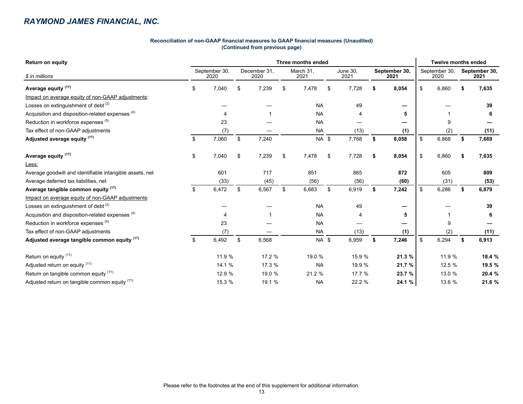#### **Reconciliation of non-GAAP financial measures to GAAP financial measures (Unaudited) (Continued from previous page)**

| <b>Return on equity</b>                                     | Three months ended |                       |    |                      |                   |              |    |                  |    |                       |    |                       | <b>Twelve months ended</b> |                       |  |  |  |
|-------------------------------------------------------------|--------------------|-----------------------|----|----------------------|-------------------|--------------|----|------------------|----|-----------------------|----|-----------------------|----------------------------|-----------------------|--|--|--|
| \$ in millions                                              |                    | September 30,<br>2020 |    | December 31.<br>2020 | March 31,<br>2021 |              |    | June 30,<br>2021 |    | September 30,<br>2021 |    | September 30,<br>2020 |                            | September 30,<br>2021 |  |  |  |
| Average equity <sup>(17)</sup>                              | \$                 | 7,040                 | S  | 7,239                | \$                | 7,478        | \$ | 7,728            | S  | 8,054                 | \$ | 6,860                 |                            | 7,635                 |  |  |  |
| Impact on average equity of non-GAAP adjustments:           |                    |                       |    |                      |                   |              |    |                  |    |                       |    |                       |                            |                       |  |  |  |
| Losses on extinguishment of debt $(3)$                      |                    |                       |    |                      |                   | <b>NA</b>    |    | 49               |    |                       |    |                       |                            | 39                    |  |  |  |
| Acquisition and disposition-related expenses <sup>(4)</sup> |                    |                       |    |                      |                   | <b>NA</b>    |    |                  |    | 5                     |    |                       |                            | 6                     |  |  |  |
| Reduction in workforce expenses (5)                         |                    | 23                    |    |                      |                   | <b>NA</b>    |    |                  |    |                       |    | 9                     |                            |                       |  |  |  |
| Tax effect of non-GAAP adjustments                          |                    | (7)                   |    |                      |                   | <b>NA</b>    |    | (13)             |    | (1)                   |    | (2)                   |                            | (11)                  |  |  |  |
| Adjusted average equity (17)                                | \$                 | 7,060                 | \$ | 7,240                |                   | NA \$        |    | 7,768            | \$ | 8,058                 | \$ | 6,868                 | \$                         | 7,669                 |  |  |  |
| Average equity <sup>(17)</sup>                              | \$                 | 7,040                 | \$ | 7,239                | \$                | 7,478        | \$ | 7,728            | \$ | 8,054                 | \$ | 6,860                 |                            | 7,635                 |  |  |  |
| Less:                                                       |                    |                       |    |                      |                   |              |    |                  |    |                       |    |                       |                            |                       |  |  |  |
| Average goodwill and identifiable intangible assets, net    |                    | 601                   |    | 717                  |                   | 851          |    | 865              |    | 872                   |    | 605                   |                            | 809                   |  |  |  |
| Average deferred tax liabilities, net                       |                    | (33)                  |    | (45)                 |                   | (56)         |    | (56)             |    | (60)                  |    | (31)                  |                            | (53)                  |  |  |  |
| Average tangible common equity (17)                         | \$                 | 6,472                 | \$ | 6,567                | \$                | 6,683        | \$ | 6,919            | \$ | 7,242                 | \$ | 6,286                 |                            | 6,879                 |  |  |  |
| Impact on average equity of non-GAAP adjustments:           |                    |                       |    |                      |                   |              |    |                  |    |                       |    |                       |                            |                       |  |  |  |
| Losses on extinguishment of debt $(3)$                      |                    |                       |    |                      |                   | <b>NA</b>    |    | 49               |    |                       |    |                       |                            | 39                    |  |  |  |
| Acquisition and disposition-related expenses (4)            |                    |                       |    |                      |                   | <b>NA</b>    |    |                  |    | 5                     |    |                       |                            | 6                     |  |  |  |
| Reduction in workforce expenses (5)                         |                    | 23                    |    |                      |                   | <b>NA</b>    |    |                  |    |                       |    | 9                     |                            |                       |  |  |  |
| Tax effect of non-GAAP adjustments                          |                    | (7)                   |    |                      |                   | <b>NA</b>    |    | (13)             |    | (1)                   |    | (2)                   |                            | (11)                  |  |  |  |
| Adjusted average tangible common equity (17)                | \$                 | 6,492                 | \$ | 6,568                |                   | <b>NA \$</b> |    | 6,959            | \$ | 7,246                 | \$ | 6,294                 | \$                         | 6,913                 |  |  |  |
| Return on equity (11)                                       |                    | 11.9 %                |    | 17.2 %               |                   | 19.0 %       |    | 15.9 %           |    | 21.3 %                |    | 11.9 %                |                            | 18.4 %                |  |  |  |
| Adjusted return on equity (11)                              |                    | 14.1 %                |    | 17.3 %               |                   | <b>NA</b>    |    | 19.9 %           |    | 21.7 %                |    | 12.5 %                |                            | 19.5 %                |  |  |  |
| Return on tangible common equity (11)                       |                    | 12.9 %                |    | 19.0 %               |                   | 21.2 %       |    | 17.7 %           |    | 23.7 %                |    | 13.0 %                |                            | 20.4 %                |  |  |  |
| Adjusted return on tangible common equity (11)              |                    | 15.3 %                |    | 19.1 %               |                   | <b>NA</b>    |    | 22.2 %           |    | 24.1 %                |    | 13.6 %                |                            | 21.6 %                |  |  |  |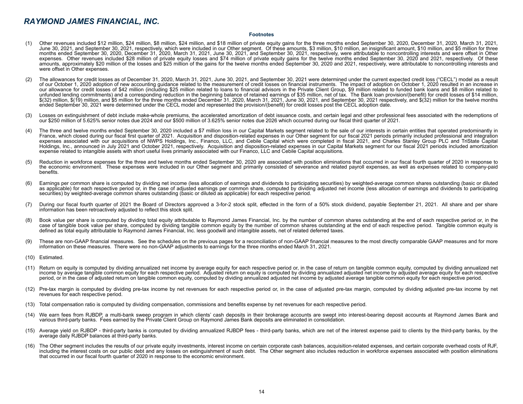#### **Footnotes**

- (1) Other revenues included \$12 million, \$24 million, \$8 million, \$24 million, and \$18 million of private equity gains for the three months ended September 30, 2020, December 31, 2020, March 31, 2021, June 30, 2021, and September 30, 2021, respectively, which were included in our Other segment. Of these amounts, \$3 million, \$10 million, an insignificant amount, \$10 million, and \$5 million for three months ended September 30, 2020, December 31, 2020, March 31, 2021, June 30, 2021, and September 30, 2021, respectively, were attributable to noncontrolling interests and were offset in Other expenses. Other revenues included \$28 million of private equity losses and \$74 million of private equity gains for the twelve months ended September 30, 2020 and 2021, respectively. Of these amounts, approximately \$20 million of the losses and \$25 million of the gains for the twelve months ended September 30, 2020 and 2021, respectively, were attributable to noncontrolling interests and were offset in Other expenses.
- (2) The allowances for credit losses as of December 31, 2020, March 31, 2021, June 30, 2021, and September 30, 2021 were determined under the current expected credit loss ("CECL") model as a result of our October 1, 2020 adoption of new accounting guidance related to the measurement of credit losses on financial instruments. The impact of adoption on October 1, 2020 resulted in an increase in our allowance for credit losses of \$42 million (including \$25 million related to loans to financial advisors in the Private Client Group, \$9 million related to funded bank loans and \$8 million related to unfunded lending commitments) and a corresponding reduction in the beginning balance of retained earnings of \$35 million, net of tax. The Bank loan provision/(benefit) for credit losses of \$14 million, \$(32) million, \$(19) million, and \$5 million for the three months ended December 31, 2020, March 31, 2021, June 30, 2021, and September 30, 2021 respectively, and \$(32) million for the twelve months ended September 30, 2021 were determined under the CECL model and represented the provision/(benefit) for credit losses post the CECL adoption date.
- (3) Losses on extinguishment of debt include make-whole premiums, the accelerated amortization of debt issuance costs, and certain legal and other professional fees associated with the redemptions of our \$250 million of 5.625% senior notes due 2024 and our \$500 million of 3.625% senior notes due 2026 which occurred during our fiscal third quarter of 2021.
- (4) The three and twelve months ended September 30, 2020 included a \$7 million loss in our Capital Markets segment related to the sale of our interests in certain entities that operated predominantly in France, which closed during our fiscal first quarter of 2021. Acquisition and disposition-related expenses in our Other segment for our fiscal 2021 periods primarily included professional and integration expenses associated with our acquisitions of NWPS Holdings, Inc., Financo, LLC, and Cebile Capital which were completed in fiscal 2021, and Charles Stanley Group PLC and TriState Capital Holdings, Inc., announced in July 2021 and October 2021, respectively. Acquisition and disposition-related expenses in our Capital Markets segment for our fiscal 2021 periods included amortization expense related to intangible assets with short useful lives primarily associated with our Financo, LLC and Cebile Capital acquisitions.
- (5) Reduction in workforce expenses for the three and twelve months ended September 30, 2020 are associated with position eliminations that occurred in our fiscal fourth quarter of 2020 in response to the economic environment. These expenses were included in our Other segment and primarily consisted of severance and related payroll expenses, as well as expenses related to company-paid benefits.
- (6) Earnings per common share is computed by dividing net income (less allocation of earnings and dividends to participating securities) by weighted-average common shares outstanding (basic or diluted as applicable) for each respective period or, in the case of adjusted earnings per common share, computed by dividing adjusted net income (less allocation of earnings and dividends to participating securities) by weighted-average common shares outstanding (basic or diluted as applicable) for each respective period.
- (7) During our fiscal fourth quarter of 2021 the Board of Directors approved a 3-for-2 stock split, effected in the form of a 50% stock dividend, payable September 21, 2021. All share and per share information has been retroactively adjusted to reflect this stock split.
- (8) Book value per share is computed by dividing total equity attributable to Raymond James Financial, Inc. by the number of common shares outstanding at the end of each respective period or, in the case of tangible book value per share, computed by dividing tangible common equity by the number of common shares outstanding at the end of each respective period. Tangible common equity is defined as total equity attributable to Raymond James Financial, Inc. less goodwill and intangible assets, net of related deferred taxes.
- (9) These are non-GAAP financial measures. See the schedules on the previous pages for a reconciliation of non-GAAP financial measures to the most directly comparable GAAP measures and for more information on these measures. There were no non-GAAP adjustments to earnings for the three months ended March 31, 2021.
- (10) Estimated.
- (11) Return on equity is computed by dividing annualized net income by average equity for each respective period or, in the case of return on tangible common equity, computed by dividing annualized net income by average tangible common equity for each respective period. Adjusted return on equity is computed by dividing annualized adjusted net income by adjusted average equity for each respective period, or in the case of adjusted return on tangible common equity, computed by dividing annualized adjusted net income by adjusted average tangible common equity for each respective period.
- (12) Pre-tax margin is computed by dividing pre-tax income by net revenues for each respective period or, in the case of adjusted pre-tax margin, computed by dividing adjusted pre-tax income by net revenues for each respective period.
- (13) Total compensation ratio is computed by dividing compensation, commissions and benefits expense by net revenues for each respective period.
- We earn fees from RJBDP, a multi-bank sweep program in which clients' cash deposits in their brokerage accounts are swept into interest-bearing deposit accounts at Raymond James Bank and various third-party banks. Fees earned by the Private Client Group on Raymond James Bank deposits are eliminated in consolidation.
- (15) Average yield on RJBDP third-party banks is computed by dividing annualized RJBDP fees third-party banks, which are net of the interest expense paid to clients by the third-party banks, by the average daily RJBDP balances at third-party banks.
- (16) The Other segment includes the results of our private equity investments, interest income on certain corporate cash balances, acquisition-related expenses, and certain corporate overhead costs of RJF, including the interest costs on our public debt and any losses on extinguishment of such debt. The Other segment also includes reduction in workforce expenses associated with position eliminations that occurred in our fiscal fourth quarter of 2020 in response to the economic environment.